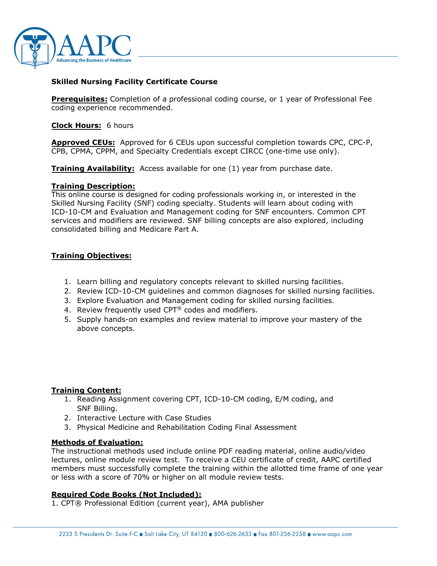

## **Skilled Nursing Facility Certificate Course**

**Prerequisites:** Completion of a professional coding course, or 1 year of Professional Fee coding experience recommended.

**Clock Hours:** 6 hours

**Approved CEUs:** Approved for 6 CEUs upon successful completion towards CPC, CPC-P, CPB, CPMA, CPPM, and Specialty Credentials except CIRCC (one-time use only).

**Training Availability:** Access available for one (1) year from purchase date.

### **Training Description:**

This online course is designed for coding professionals working in, or interested in the Skilled Nursing Facility (SNF) coding specialty. Students will learn about coding with ICD-10-CM and Evaluation and Management coding for SNF encounters. Common CPT services and modifiers are reviewed. SNF billing concepts are also explored, including consolidated billing and Medicare Part A.

# **Training Objectives:**

- 1. Learn billing and regulatory concepts relevant to skilled nursing facilities.
- 2. Review ICD-10-CM guidelines and common diagnoses for skilled nursing facilities.
- 3. Explore Evaluation and Management coding for skilled nursing facilities.
- 4. Review frequently used CPT $<sup>®</sup>$  codes and modifiers.</sup>
- 5. Supply hands-on examples and review material to improve your mastery of the above concepts.

#### **Training Content:**

- 1. Reading Assignment covering CPT, ICD-10-CM coding, E/M coding, and SNF Billing.
- 2. Interactive Lecture with Case Studies
- 3. Physical Medicine and Rehabilitation Coding Final Assessment

#### **Methods of Evaluation:**

The instructional methods used include online PDF reading material, online audio/video lectures, online module review test. To receive a CEU certificate of credit, AAPC certified members must successfully complete the training within the allotted time frame of one year or less with a score of 70% or higher on all module review tests.

#### **Required Code Books (Not Included):**

1. CPT® Professional Edition (current year), AMA publisher